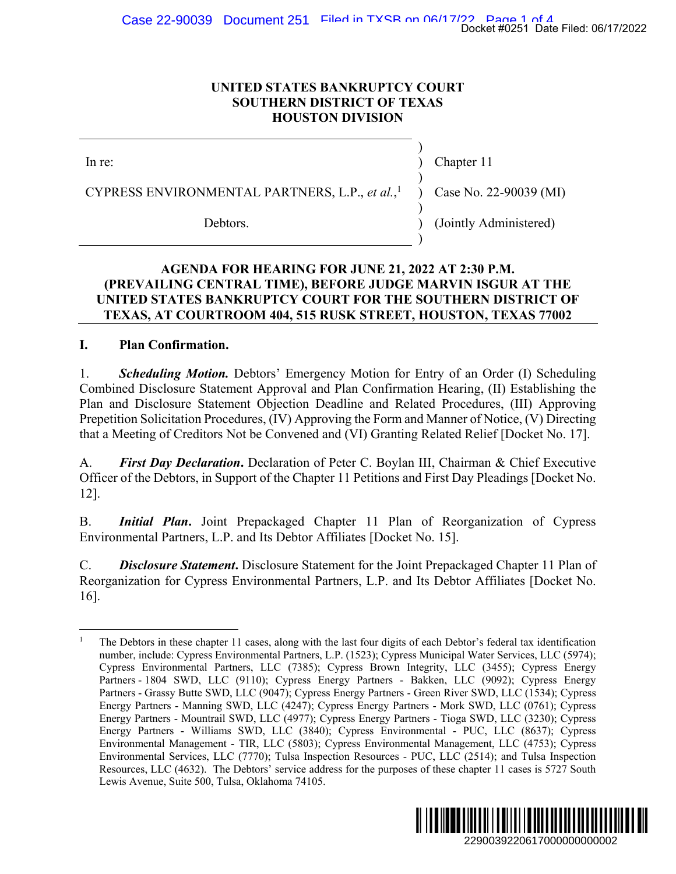#### **UNITED STATES BANKRUPTCY COURT SOUTHERN DISTRICT OF TEXAS HOUSTON DIVISION**

In re: (a) Chapter 11 (b) Chapter 11 (c) Chapter 11 (c) Chapter 11 (c) Chapter 11 (c) Chapter 11 (c) Chapter 11 (c) Chapter 11 (c)  $\alpha$ 

CYPRESS ENVIRONMENTAL PARTNERS, L.P., *et al.*, 1

 $)$ 

 $)$ 

 $)$ 

 $)$ 

Debtors. (Jointly Administered)

) Case No. 22-90039 (MI)

## **AGENDA FOR HEARING FOR JUNE 21, 2022 AT 2:30 P.M. (PREVAILING CENTRAL TIME), BEFORE JUDGE MARVIN ISGUR AT THE UNITED STATES BANKRUPTCY COURT FOR THE SOUTHERN DISTRICT OF TEXAS, AT COURTROOM 404, 515 RUSK STREET, HOUSTON, TEXAS 77002**

#### **I. Plan Confirmation.**

1. *Scheduling Motion.* Debtors' Emergency Motion for Entry of an Order (I) Scheduling Combined Disclosure Statement Approval and Plan Confirmation Hearing, (II) Establishing the Plan and Disclosure Statement Objection Deadline and Related Procedures, (III) Approving Prepetition Solicitation Procedures, (IV) Approving the Form and Manner of Notice, (V) Directing that a Meeting of Creditors Not be Convened and (VI) Granting Related Relief [Docket No. 17].

A. *First Day Declaration***.** Declaration of Peter C. Boylan III, Chairman & Chief Executive Officer of the Debtors, in Support of the Chapter 11 Petitions and First Day Pleadings [Docket No. 12].

B. *Initial Plan***.** Joint Prepackaged Chapter 11 Plan of Reorganization of Cypress Environmental Partners, L.P. and Its Debtor Affiliates [Docket No. 15].

C. *Disclosure Statement***.** Disclosure Statement for the Joint Prepackaged Chapter 11 Plan of Reorganization for Cypress Environmental Partners, L.P. and Its Debtor Affiliates [Docket No. 16].

 $\overline{a}$ 1 The Debtors in these chapter 11 cases, along with the last four digits of each Debtor's federal tax identification number, include: Cypress Environmental Partners, L.P. (1523); Cypress Municipal Water Services, LLC (5974); Cypress Environmental Partners, LLC (7385); Cypress Brown Integrity, LLC (3455); Cypress Energy Partners - 1804 SWD, LLC (9110); Cypress Energy Partners - Bakken, LLC (9092); Cypress Energy Partners - Grassy Butte SWD, LLC (9047); Cypress Energy Partners - Green River SWD, LLC (1534); Cypress Energy Partners - Manning SWD, LLC (4247); Cypress Energy Partners - Mork SWD, LLC (0761); Cypress Energy Partners - Mountrail SWD, LLC (4977); Cypress Energy Partners - Tioga SWD, LLC (3230); Cypress Energy Partners - Williams SWD, LLC (3840); Cypress Environmental - PUC, LLC (8637); Cypress Environmental Management - TIR, LLC (5803); Cypress Environmental Management, LLC (4753); Cypress Environmental Services, LLC (7770); Tulsa Inspection Resources - PUC, LLC (2514); and Tulsa Inspection Resources, LLC (4632). The Debtors' service address for the purposes of these chapter 11 cases is 5727 South Lewis Avenue, Suite 500, Tulsa, Oklahoma 74105. Docket #0251 Date Filed: 06/17/2022<br>
1<br>
1 No. 22-90039 (MI)<br>
1<br>
1<br>
1<br>
2290 P.M.<br> **IN ISGUR AT THE<br>
ERN DISTRICT OF**<br> **CON, TEXAS 77002**<br>
2<br>
2 an Order (I) Scheduling the<br>
1<br>
2 an Order (I) Scheduling the<br>
1<br>
1 or Theorice,

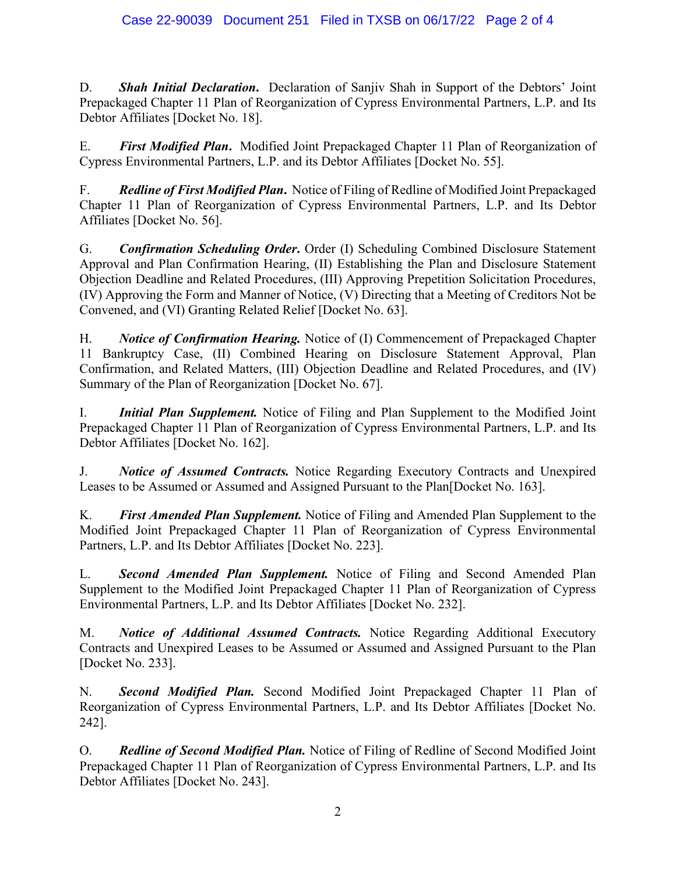## Case 22-90039 Document 251 Filed in TXSB on 06/17/22 Page 2 of 4

D. *Shah Initial Declaration***.** Declaration of Sanjiv Shah in Support of the Debtors' Joint Prepackaged Chapter 11 Plan of Reorganization of Cypress Environmental Partners, L.P. and Its Debtor Affiliates [Docket No. 18].

E. *First Modified Plan***.** Modified Joint Prepackaged Chapter 11 Plan of Reorganization of Cypress Environmental Partners, L.P. and its Debtor Affiliates [Docket No. 55].

F. *Redline of First Modified Plan***.** Notice of Filing of Redline of Modified Joint Prepackaged Chapter 11 Plan of Reorganization of Cypress Environmental Partners, L.P. and Its Debtor Affiliates [Docket No. 56].

G. *Confirmation Scheduling Order***.** Order (I) Scheduling Combined Disclosure Statement Approval and Plan Confirmation Hearing, (II) Establishing the Plan and Disclosure Statement Objection Deadline and Related Procedures, (III) Approving Prepetition Solicitation Procedures, (IV) Approving the Form and Manner of Notice, (V) Directing that a Meeting of Creditors Not be Convened, and (VI) Granting Related Relief [Docket No. 63].

H. *Notice of Confirmation Hearing.* Notice of (I) Commencement of Prepackaged Chapter 11 Bankruptcy Case, (II) Combined Hearing on Disclosure Statement Approval, Plan Confirmation, and Related Matters, (III) Objection Deadline and Related Procedures, and (IV) Summary of the Plan of Reorganization [Docket No. 67].

I. *Initial Plan Supplement.* Notice of Filing and Plan Supplement to the Modified Joint Prepackaged Chapter 11 Plan of Reorganization of Cypress Environmental Partners, L.P. and Its Debtor Affiliates [Docket No. 162].

J. *Notice of Assumed Contracts.* Notice Regarding Executory Contracts and Unexpired Leases to be Assumed or Assumed and Assigned Pursuant to the Plan[Docket No. 163].

K. *First Amended Plan Supplement.* Notice of Filing and Amended Plan Supplement to the Modified Joint Prepackaged Chapter 11 Plan of Reorganization of Cypress Environmental Partners, L.P. and Its Debtor Affiliates [Docket No. 223].

L. *Second Amended Plan Supplement.* Notice of Filing and Second Amended Plan Supplement to the Modified Joint Prepackaged Chapter 11 Plan of Reorganization of Cypress Environmental Partners, L.P. and Its Debtor Affiliates [Docket No. 232].

M. *Notice of Additional Assumed Contracts.* Notice Regarding Additional Executory Contracts and Unexpired Leases to be Assumed or Assumed and Assigned Pursuant to the Plan [Docket No. 233].

N. *Second Modified Plan.* Second Modified Joint Prepackaged Chapter 11 Plan of Reorganization of Cypress Environmental Partners, L.P. and Its Debtor Affiliates [Docket No. 242].

O. *Redline of Second Modified Plan.* Notice of Filing of Redline of Second Modified Joint Prepackaged Chapter 11 Plan of Reorganization of Cypress Environmental Partners, L.P. and Its Debtor Affiliates [Docket No. 243].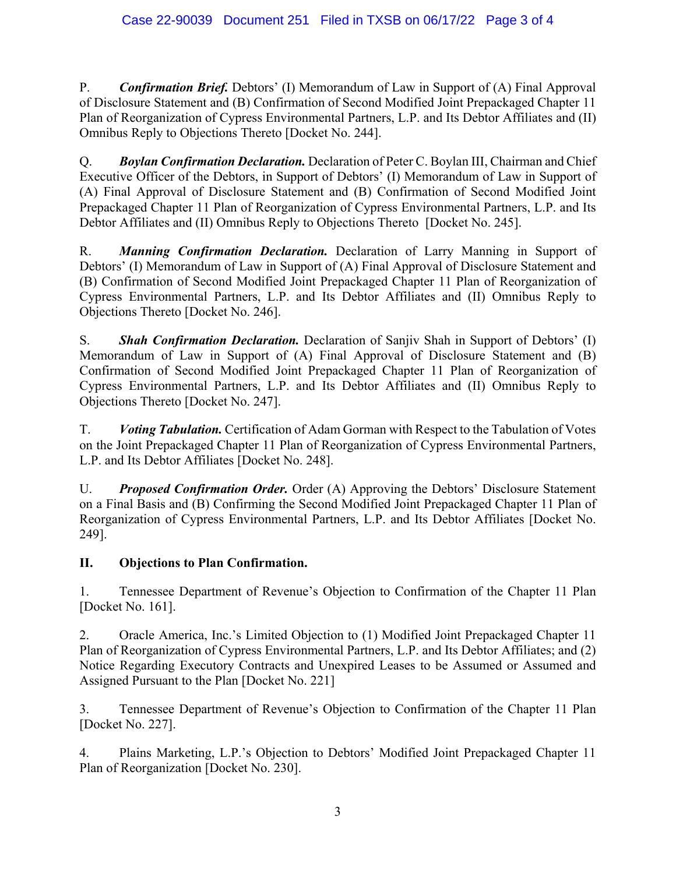P. *Confirmation Brief.* Debtors' (I) Memorandum of Law in Support of (A) Final Approval of Disclosure Statement and (B) Confirmation of Second Modified Joint Prepackaged Chapter 11 Plan of Reorganization of Cypress Environmental Partners, L.P. and Its Debtor Affiliates and (II) Omnibus Reply to Objections Thereto [Docket No. 244].

Q. *Boylan Confirmation Declaration.* Declaration of Peter C. Boylan III, Chairman and Chief Executive Officer of the Debtors, in Support of Debtors' (I) Memorandum of Law in Support of (A) Final Approval of Disclosure Statement and (B) Confirmation of Second Modified Joint Prepackaged Chapter 11 Plan of Reorganization of Cypress Environmental Partners, L.P. and Its Debtor Affiliates and (II) Omnibus Reply to Objections Thereto [Docket No. 245].

R. *Manning Confirmation Declaration.* Declaration of Larry Manning in Support of Debtors' (I) Memorandum of Law in Support of (A) Final Approval of Disclosure Statement and (B) Confirmation of Second Modified Joint Prepackaged Chapter 11 Plan of Reorganization of Cypress Environmental Partners, L.P. and Its Debtor Affiliates and (II) Omnibus Reply to Objections Thereto [Docket No. 246].

S. *Shah Confirmation Declaration.* Declaration of Sanjiv Shah in Support of Debtors' (I) Memorandum of Law in Support of (A) Final Approval of Disclosure Statement and (B) Confirmation of Second Modified Joint Prepackaged Chapter 11 Plan of Reorganization of Cypress Environmental Partners, L.P. and Its Debtor Affiliates and (II) Omnibus Reply to Objections Thereto [Docket No. 247].

T. *Voting Tabulation.* Certification of Adam Gorman with Respect to the Tabulation of Votes on the Joint Prepackaged Chapter 11 Plan of Reorganization of Cypress Environmental Partners, L.P. and Its Debtor Affiliates [Docket No. 248].

U. *Proposed Confirmation Order.* Order (A) Approving the Debtors' Disclosure Statement on a Final Basis and (B) Confirming the Second Modified Joint Prepackaged Chapter 11 Plan of Reorganization of Cypress Environmental Partners, L.P. and Its Debtor Affiliates [Docket No. 249].

# **II. Objections to Plan Confirmation.**

1. Tennessee Department of Revenue's Objection to Confirmation of the Chapter 11 Plan [Docket No. 161].

2. Oracle America, Inc.'s Limited Objection to (1) Modified Joint Prepackaged Chapter 11 Plan of Reorganization of Cypress Environmental Partners, L.P. and Its Debtor Affiliates; and (2) Notice Regarding Executory Contracts and Unexpired Leases to be Assumed or Assumed and Assigned Pursuant to the Plan [Docket No. 221]

3. Tennessee Department of Revenue's Objection to Confirmation of the Chapter 11 Plan [Docket No. 227].

4. Plains Marketing, L.P.'s Objection to Debtors' Modified Joint Prepackaged Chapter 11 Plan of Reorganization [Docket No. 230].